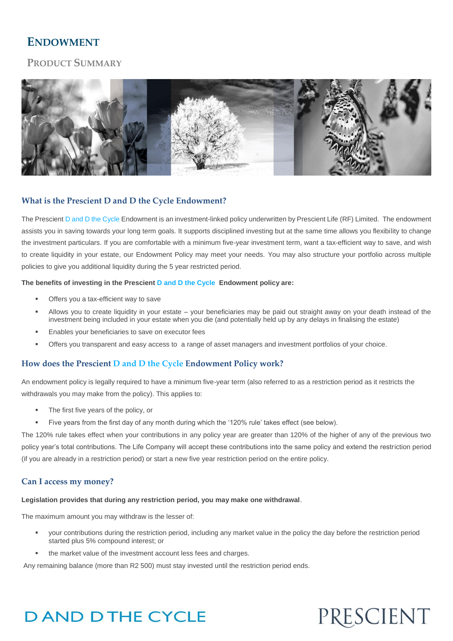## **ENDOWMENT**

## **PRODUCT SUMMARY**



## **What is the Prescient D and D the Cycle Endowment?**

The Prescient D and D the Cycle Endowment is an investment-linked policy underwritten by Prescient Life (RF) Limited. The endowment assists you in saving towards your long term goals. It supports disciplined investing but at the same time allows you flexibility to change the investment particulars. If you are comfortable with a minimum five-year investment term, want a tax-efficient way to save, and wish to create liquidity in your estate, our Endowment Policy may meet your needs. You may also structure your portfolio across multiple policies to give you additional liquidity during the 5 year restricted period.

#### **The benefits of investing in the Prescient D and D the Cycle Endowment policy are:**

- Offers you a tax-efficient way to save
- Allows you to create liquidity in your estate your beneficiaries may be paid out straight away on your death instead of the investment being included in your estate when you die (and potentially held up by any delays in finalising the estate)
- Enables your beneficiaries to save on executor fees
- Offers you transparent and easy access t[o a range of asset managers](javascript:getContent(21)) and investment portfolios of your choice.

### **How does the Prescient D and D the Cycle Endowment Policy work?**

An endowment policy is legally required to have a minimum five-year term (also referred to as a restriction period as it restricts the withdrawals you may make from the policy). This applies to:

- The first five years of the policy, or
- Five years from the first day of any month during which the '120% rule' takes effect (see below).

The 120% rule takes effect when your contributions in any policy year are greater than 120% of the higher of any of the previous two policy year's total contributions. The Life Company will accept these contributions into the same policy and extend the restriction period (if you are already in a restriction period) or start a new five year restriction period on the entire policy.

#### **Can I access my money?**

### **Legislation provides that during any restriction period, you may make one withdrawal**.

The maximum amount you may withdraw is the lesser of:

- your contributions during the restriction period, including any market value in the policy the day before the restriction period started plus 5% compound interest; or
- the market value of the investment account less fees and charges.

Any remaining balance (more than R2 500) must stay invested until the restriction period ends.

## **DAND DTHE CYCLE**

# PRESCIENT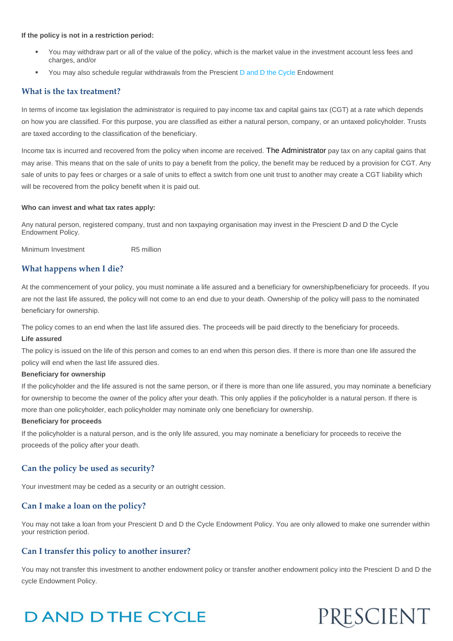#### **If the policy is not in a restriction period:**

- You may withdraw part or all of the value of the policy, which is the market value in the investment account less fees and charges, and/or
- You may also schedule regular withdrawals from the Prescient D and D the Cycle Endowment

#### **[What is the tax treatment?](javascript:;)**

In terms of income tax legislation the administrator is required to pay income tax and capital gains tax (CGT) at a rate which depends on how you are classified. For this purpose, you are classified as either a natural person, company, or an untaxed policyholder. Trusts are taxed according to the classification of the beneficiary.

Income tax is incurred and recovered from the policy when income are received. The Administrator pay tax on any capital gains that may arise. This means that on the sale of units to pay a benefit from the policy, the benefit may be reduced by a provision for CGT. Any sale of units to pay fees or charges or a sale of units to effect a switch from one unit trust to another may create a CGT liability which will be recovered from the policy benefit when it is paid out.

#### **Who can invest and what tax rates apply:**

Any natural person, registered company, trust and non taxpaying organisation may invest in the Prescient D and D the Cycle Endowment Policy.

Minimum Investment R5 million

#### **What happens when I die?**

At the commencement of your policy, you must nominate a life assured and a beneficiary for ownership/beneficiary for proceeds. If you are not the last life assured, the policy will not come to an end due to your death. Ownership of the policy will pass to the nominated beneficiary for ownership.

The policy comes to an end when the last life assured dies. The proceeds will be paid directly to the beneficiary for proceeds.

#### **Life assured**

The policy is issued on the life of this person and comes to an end when this person dies. If there is more than one life assured the policy will end when the last life assured dies.

#### **Beneficiary for ownership**

If the policyholder and the life assured is not the same person, or if there is more than one life assured, you may nominate a beneficiary for ownership to become the owner of the policy after your death. This only applies if the policyholder is a natural person. If there is more than one policyholder, each policyholder may nominate only one beneficiary for ownership.

#### **Beneficiary for proceeds**

If the policyholder is a natural person, and is the only life assured, you may nominate a beneficiary for proceeds to receive the proceeds of the policy after your death.

#### **[Can the policy be used as security?](javascript:;)**

Your investment may be ceded as a security or an outright cession.

#### **Can I make a loan on the policy?**

You may not take a loan from your Prescient D and D the Cycle Endowment Policy. You are only allowed to make one surrender within your restriction period.

#### **Can I transfer this policy to another insurer?**

You may not transfer this investment to another endowment policy or transfer another endowment policy into the Prescient D and D the cycle Endowment Policy.

## **DAND DTHE CYCLE**

# PRESCIENT